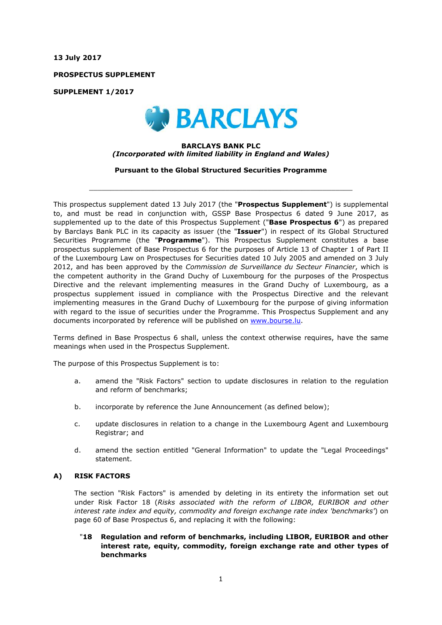**13 July 2017**

**PROSPECTUS SUPPLEMENT**

**SUPPLEMENT 1/2017**



#### **BARCLAYS BANK PLC** *(Incorporated with limited liability in England and Wales)*

**Pursuant to the Global Structured Securities Programme**

 $\_$  ,  $\_$  ,  $\_$  ,  $\_$  ,  $\_$  ,  $\_$  ,  $\_$  ,  $\_$  ,  $\_$  ,  $\_$  ,  $\_$  ,  $\_$  ,  $\_$  ,  $\_$  ,  $\_$  ,  $\_$  ,  $\_$  ,  $\_$  ,  $\_$  ,  $\_$  ,  $\_$  ,  $\_$  ,  $\_$  ,  $\_$  ,  $\_$  ,  $\_$  ,  $\_$  ,  $\_$  ,  $\_$  ,  $\_$  ,  $\_$  ,  $\_$  ,  $\_$  ,  $\_$  ,  $\_$  ,  $\_$  ,  $\_$  ,

This prospectus supplement dated 13 July 2017 (the "**Prospectus Supplement**") is supplemental to, and must be read in conjunction with, GSSP Base Prospectus 6 dated 9 June 2017, as supplemented up to the date of this Prospectus Supplement ("**Base Prospectus 6**") as prepared by Barclays Bank PLC in its capacity as issuer (the "**Issuer**") in respect of its Global Structured Securities Programme (the "**Programme**"). This Prospectus Supplement constitutes a base prospectus supplement of Base Prospectus 6 for the purposes of Article 13 of Chapter 1 of Part II of the Luxembourg Law on Prospectuses for Securities dated 10 July 2005 and amended on 3 July 2012, and has been approved by the *Commission de Surveillance du Secteur Financier*, which is the competent authority in the Grand Duchy of Luxembourg for the purposes of the Prospectus Directive and the relevant implementing measures in the Grand Duchy of Luxembourg, as a prospectus supplement issued in compliance with the Prospectus Directive and the relevant implementing measures in the Grand Duchy of Luxembourg for the purpose of giving information with regard to the issue of securities under the Programme. This Prospectus Supplement and any documents incorporated by reference will be published on www.bourse.lu.

Terms defined in Base Prospectus 6 shall, unless the context otherwise requires, have the same meanings when used in the Prospectus Supplement.

The purpose of this Prospectus Supplement is to:

- a. amend the "Risk Factors" section to update disclosures in relation to the regulation and reform of benchmarks;
- b. incorporate by reference the June Announcement (as defined below);
- c. update disclosures in relation to a change in the Luxembourg Agent and Luxembourg Registrar; and
- d. amend the section entitled "General Information" to update the "Legal Proceedings" statement.

## **A) RISK FACTORS**

The section "Risk Factors" is amended by deleting in its entirety the information set out under Risk Factor 18 (*Risks associated with the reform of LIBOR, EURIBOR and other interest rate index and equity, commodity and foreign exchange rate index 'benchmarks'*) on page 60 of Base Prospectus 6, and replacing it with the following:

# "**18 Regulation and reform of benchmarks, including LIBOR, EURIBOR and other interest rate, equity, commodity, foreign exchange rate and other types of benchmarks**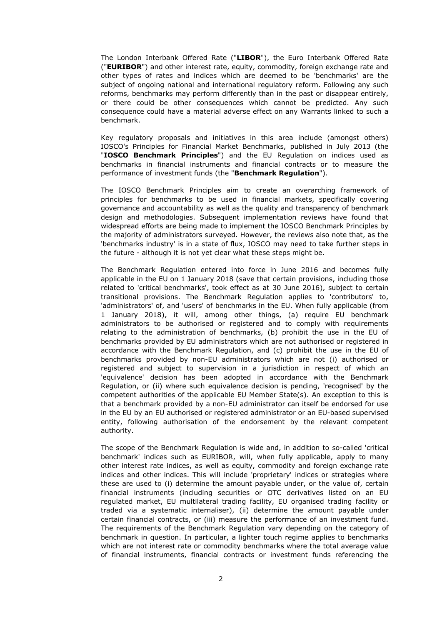The London Interbank Offered Rate ("**LIBOR**"), the Euro Interbank Offered Rate ("**EURIBOR**") and other interest rate, equity, commodity, foreign exchange rate and other types of rates and indices which are deemed to be 'benchmarks' are the subject of ongoing national and international regulatory reform. Following any such reforms, benchmarks may perform differently than in the past or disappear entirely, or there could be other consequences which cannot be predicted. Any such consequence could have a material adverse effect on any Warrants linked to such a benchmark.

Key regulatory proposals and initiatives in this area include (amongst others) IOSCO's Principles for Financial Market Benchmarks, published in July 2013 (the "**IOSCO Benchmark Principles**") and the EU Regulation on indices used as benchmarks in financial instruments and financial contracts or to measure the performance of investment funds (the "**Benchmark Regulation**").

The IOSCO Benchmark Principles aim to create an overarching framework of principles for benchmarks to be used in financial markets, specifically covering governance and accountability as well as the quality and transparency of benchmark design and methodologies. Subsequent implementation reviews have found that widespread efforts are being made to implement the IOSCO Benchmark Principles by the majority of administrators surveyed. However, the reviews also note that, as the 'benchmarks industry' is in a state of flux, IOSCO may need to take further steps in the future - although it is not yet clear what these steps might be.

The Benchmark Regulation entered into force in June 2016 and becomes fully applicable in the EU on 1 January 2018 (save that certain provisions, including those related to 'critical benchmarks', took effect as at 30 June 2016), subject to certain transitional provisions. The Benchmark Regulation applies to 'contributors' to, 'administrators' of, and 'users' of benchmarks in the EU. When fully applicable (from 1 January 2018), it will, among other things, (a) require EU benchmark administrators to be authorised or registered and to comply with requirements relating to the administration of benchmarks, (b) prohibit the use in the EU of benchmarks provided by EU administrators which are not authorised or registered in accordance with the Benchmark Regulation, and (c) prohibit the use in the EU of benchmarks provided by non-EU administrators which are not (i) authorised or registered and subject to supervision in a jurisdiction in respect of which an 'equivalence' decision has been adopted in accordance with the Benchmark Regulation, or (ii) where such equivalence decision is pending, 'recognised' by the competent authorities of the applicable EU Member State(s). An exception to this is that a benchmark provided by a non-EU administrator can itself be endorsed for use in the EU by an EU authorised or registered administrator or an EU-based supervised entity, following authorisation of the endorsement by the relevant competent authority.

The scope of the Benchmark Regulation is wide and, in addition to so-called 'critical benchmark' indices such as EURIBOR, will, when fully applicable, apply to many other interest rate indices, as well as equity, commodity and foreign exchange rate indices and other indices. This will include 'proprietary' indices or strategies where these are used to (i) determine the amount payable under, or the value of, certain financial instruments (including securities or OTC derivatives listed on an EU regulated market, EU multilateral trading facility, EU organised trading facility or traded via a systematic internaliser), (ii) determine the amount payable under certain financial contracts, or (iii) measure the performance of an investment fund. The requirements of the Benchmark Regulation vary depending on the category of benchmark in question. In particular, a lighter touch regime applies to benchmarks which are not interest rate or commodity benchmarks where the total average value of financial instruments, financial contracts or investment funds referencing the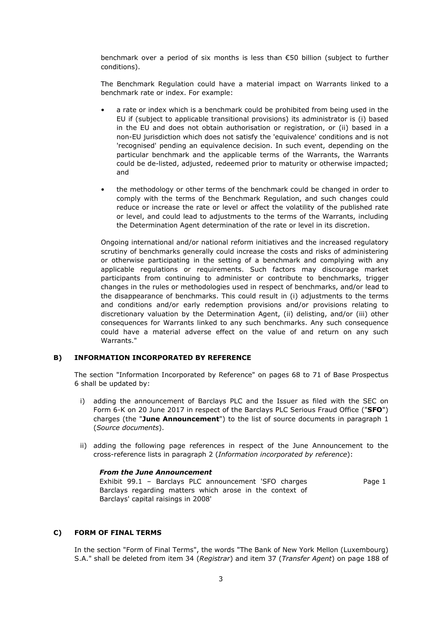benchmark over a period of six months is less than €50 billion (subject to further conditions).

The Benchmark Regulation could have a material impact on Warrants linked to a benchmark rate or index. For example:

- a rate or index which is a benchmark could be prohibited from being used in the EU if (subject to applicable transitional provisions) its administrator is (i) based in the EU and does not obtain authorisation or registration, or (ii) based in a non-EU jurisdiction which does not satisfy the 'equivalence' conditions and is not 'recognised' pending an equivalence decision. In such event, depending on the particular benchmark and the applicable terms of the Warrants, the Warrants could be de-listed, adjusted, redeemed prior to maturity or otherwise impacted; and
- the methodology or other terms of the benchmark could be changed in order to comply with the terms of the Benchmark Regulation, and such changes could reduce or increase the rate or level or affect the volatility of the published rate or level, and could lead to adjustments to the terms of the Warrants, including the Determination Agent determination of the rate or level in its discretion.

Ongoing international and/or national reform initiatives and the increased regulatory scrutiny of benchmarks generally could increase the costs and risks of administering or otherwise participating in the setting of a benchmark and complying with any applicable regulations or requirements. Such factors may discourage market participants from continuing to administer or contribute to benchmarks, trigger changes in the rules or methodologies used in respect of benchmarks, and/or lead to the disappearance of benchmarks. This could result in (i) adjustments to the terms and conditions and/or early redemption provisions and/or provisions relating to discretionary valuation by the Determination Agent, (ii) delisting, and/or (iii) other consequences for Warrants linked to any such benchmarks. Any such consequence could have a material adverse effect on the value of and return on any such Warrants<sup>"</sup>

## **B) INFORMATION INCORPORATED BY REFERENCE**

The section "Information Incorporated by Reference" on pages 68 to 71 of Base Prospectus 6 shall be updated by:

- i) adding the announcement of Barclays PLC and the Issuer as filed with the SEC on Form 6-K on 20 June 2017 in respect of the Barclays PLC Serious Fraud Office ("**SFO**") charges (the "**June Announcement**") to the list of source documents in paragraph 1 (*Source documents*).
- ii) adding the following page references in respect of the June Announcement to the cross-reference lists in paragraph 2 (*Information incorporated by reference*):

#### *From the June Announcement*

Exhibit 99.1 – Barclays PLC announcement 'SFO charges Barclays regarding matters which arose in the context of Barclays' capital raisings in 2008' Page 1

#### **C) FORM OF FINAL TERMS**

In the section "Form of Final Terms", the words "The Bank of New York Mellon (Luxembourg) S.A." shall be deleted from item 34 (*Registrar*) and item 37 (*Transfer Agent*) on page 188 of